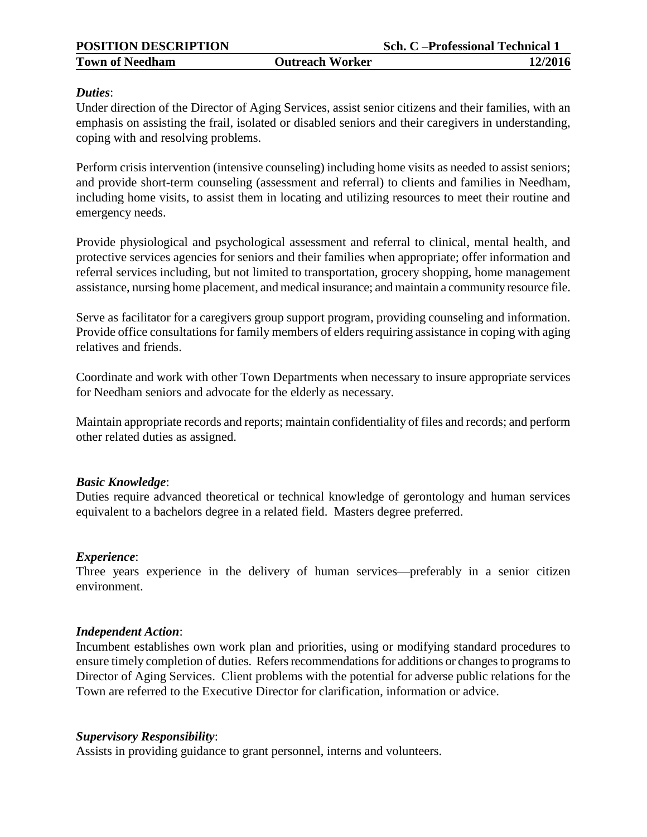### *Duties*:

Under direction of the Director of Aging Services, assist senior citizens and their families, with an emphasis on assisting the frail, isolated or disabled seniors and their caregivers in understanding, coping with and resolving problems.

Perform crisis intervention (intensive counseling) including home visits as needed to assist seniors; and provide short-term counseling (assessment and referral) to clients and families in Needham, including home visits, to assist them in locating and utilizing resources to meet their routine and emergency needs.

Provide physiological and psychological assessment and referral to clinical, mental health, and protective services agencies for seniors and their families when appropriate; offer information and referral services including, but not limited to transportation, grocery shopping, home management assistance, nursing home placement, and medical insurance; and maintain a community resource file.

Serve as facilitator for a caregivers group support program, providing counseling and information. Provide office consultations for family members of elders requiring assistance in coping with aging relatives and friends.

Coordinate and work with other Town Departments when necessary to insure appropriate services for Needham seniors and advocate for the elderly as necessary.

Maintain appropriate records and reports; maintain confidentiality of files and records; and perform other related duties as assigned.

## *Basic Knowledge*:

Duties require advanced theoretical or technical knowledge of gerontology and human services equivalent to a bachelors degree in a related field. Masters degree preferred.

## *Experience*:

Three years experience in the delivery of human services—preferably in a senior citizen environment.

## *Independent Action*:

Incumbent establishes own work plan and priorities, using or modifying standard procedures to ensure timely completion of duties. Refers recommendations for additions or changes to programs to Director of Aging Services. Client problems with the potential for adverse public relations for the Town are referred to the Executive Director for clarification, information or advice.

## *Supervisory Responsibility*:

Assists in providing guidance to grant personnel, interns and volunteers.